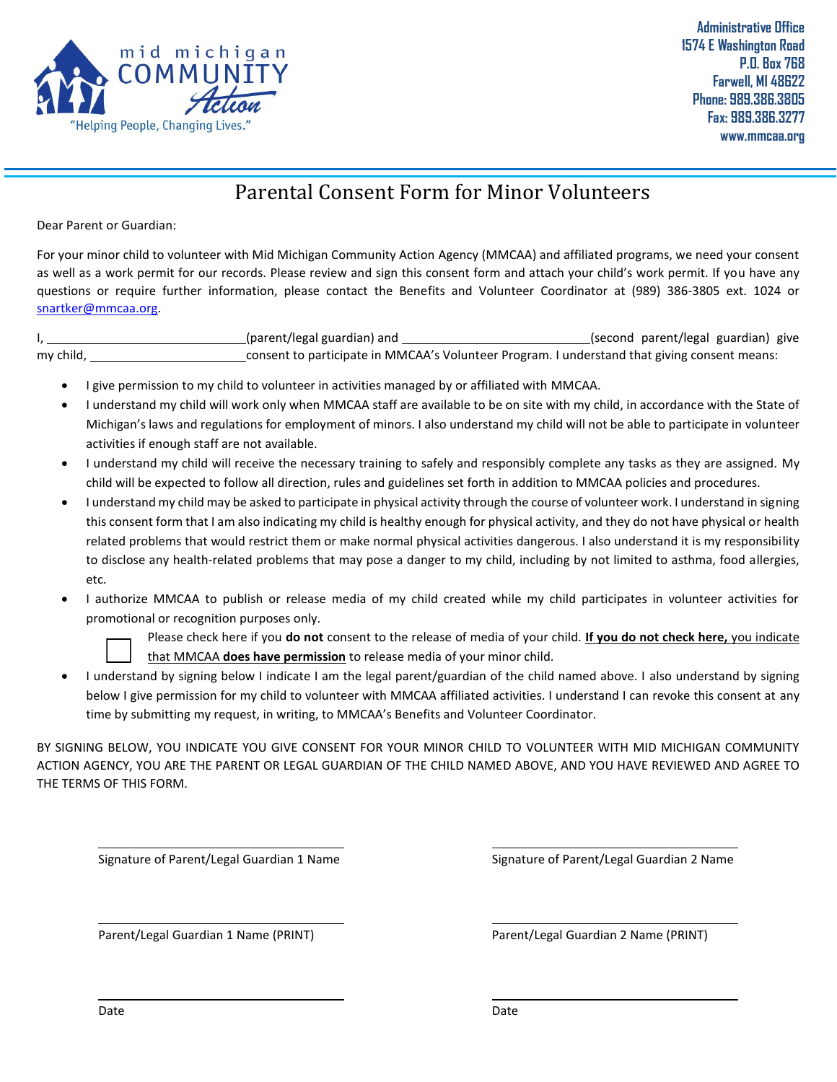

**Administrative Office 1574 E Washington Road P.O. Box 768 Farwell, MI 48622 Phone: 989.386.3805 Fax: 989.386.3277 www.mmcaa.org**

## Parental Consent Form for Minor Volunteers

Dear Parent or Guardian:

For your minor child to volunteer with Mid Michigan Community Action Agency (MMCAA) and affiliated programs, we need your consent as well as a work permit for our records. Please review and sign this consent form and attach your child's work permit. If you have any questions or require further information, please contact the Benefits and Volunteer Coordinator at (989) 386-3805 ext. 1024 or [snartker@mmcaa.org.](mailto:snartker@mmcaa.org)

I, 1. 2008 (parent/legal guardian) and 1. 2008 (second parent/legal guardian) give my child, Consent to participate in MMCAA's Volunteer Program. I understand that giving consent means:

- I give permission to my child to volunteer in activities managed by or affiliated with MMCAA.
- I understand my child will work only when MMCAA staff are available to be on site with my child, in accordance with the State of Michigan's laws and regulations for employment of minors. I also understand my child will not be able to participate in volunteer activities if enough staff are not available.
- I understand my child will receive the necessary training to safely and responsibly complete any tasks as they are assigned. My child will be expected to follow all direction, rules and guidelines set forth in addition to MMCAA policies and procedures.
- I understand my child may be asked to participate in physical activity through the course of volunteer work. I understand in signing this consent form that I am also indicating my child is healthy enough for physical activity, and they do not have physical or health related problems that would restrict them or make normal physical activities dangerous. I also understand it is my responsibility to disclose any health-related problems that may pose a danger to my child, including by not limited to asthma, food allergies, etc.
- I authorize MMCAA to publish or release media of my child created while my child participates in volunteer activities for promotional or recognition purposes only.



Please check here if you **do not** consent to the release of media of your child. **If you do not check here,** you indicate that MMCAA **does have permission** to release media of your minor child.

• I understand by signing below I indicate I am the legal parent/guardian of the child named above. I also understand by signing below I give permission for my child to volunteer with MMCAA affiliated activities. I understand I can revoke this consent at any time by submitting my request, in writing, to MMCAA's Benefits and Volunteer Coordinator.

BY SIGNING BELOW, YOU INDICATE YOU GIVE CONSENT FOR YOUR MINOR CHILD TO VOLUNTEER WITH MID MICHIGAN COMMUNITY ACTION AGENCY, YOU ARE THE PARENT OR LEGAL GUARDIAN OF THE CHILD NAMED ABOVE, AND YOU HAVE REVIEWED AND AGREE TO THE TERMS OF THIS FORM.

Signature of Parent/Legal Guardian 1 Name Signature of Parent/Legal Guardian 2 Name

Parent/Legal Guardian 1 Name (PRINT) Parent/Legal Guardian 2 Name (PRINT)